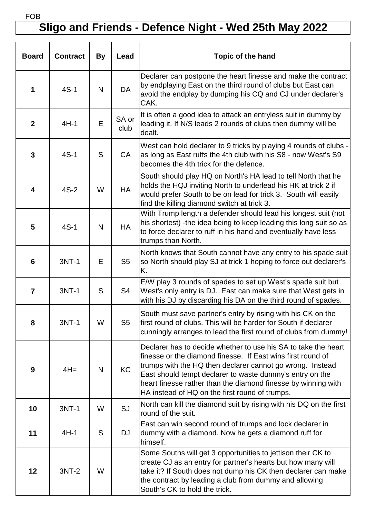## **Sligo and Friends - Defence Night - Wed 25th May 2022**

| <b>Board</b>     | <b>Contract</b> | <b>By</b>    | Lead           | <b>Topic of the hand</b>                                                                                                                                                                                                                                                                                                                                                  |
|------------------|-----------------|--------------|----------------|---------------------------------------------------------------------------------------------------------------------------------------------------------------------------------------------------------------------------------------------------------------------------------------------------------------------------------------------------------------------------|
|                  | $4S-1$          | N            | <b>DA</b>      | Declarer can postpone the heart finesse and make the contract<br>by endplaying East on the third round of clubs but East can<br>avoid the endplay by dumping his CQ and CJ under declarer's<br>CAK.                                                                                                                                                                       |
| $\boldsymbol{2}$ | $4H-1$          | E            | SA or<br>club  | It is often a good idea to attack an entryless suit in dummy by<br>leading it. If N/S leads 2 rounds of clubs then dummy will be<br>dealt.                                                                                                                                                                                                                                |
| 3                | $4S-1$          | S            | CA             | West can hold declarer to 9 tricks by playing 4 rounds of clubs -<br>as long as East ruffs the 4th club with his S8 - now West's S9<br>becomes the 4th trick for the defence.                                                                                                                                                                                             |
| 4                | $4S-2$          | W            | <b>HA</b>      | South should play HQ on North's HA lead to tell North that he<br>holds the HQJ inviting North to underlead his HK at trick 2 if<br>would prefer South to be on lead for trick 3. South will easily<br>find the killing diamond switch at trick 3.                                                                                                                         |
| 5                | $4S-1$          | $\mathsf{N}$ | <b>HA</b>      | With Trump length a defender should lead his longest suit (not<br>his shortest) -the idea being to keep leading this long suit so as<br>to force declarer to ruff in his hand and eventually have less<br>trumps than North.                                                                                                                                              |
| 6                | $3NT-1$         | E            | S <sub>5</sub> | North knows that South cannot have any entry to his spade suit<br>so North should play SJ at trick 1 hoping to force out declarer's<br>K.                                                                                                                                                                                                                                 |
| 7                | 3NT-1           | S            | S4             | E/W play 3 rounds of spades to set up West's spade suit but<br>West's only entry is DJ. East can make sure that West gets in<br>with his DJ by discarding his DA on the third round of spades.                                                                                                                                                                            |
| 8                | 3NT-1           | W            | S <sub>5</sub> | South must save partner's entry by rising with his CK on the<br>first round of clubs. This will be harder for South if declarer<br>cunningly arranges to lead the first round of clubs from dummy!                                                                                                                                                                        |
| 9                | $4H =$          | N            | <b>KC</b>      | Declarer has to decide whether to use his SA to take the heart<br>finesse or the diamond finesse. If East wins first round of<br>trumps with the HQ then declarer cannot go wrong. Instead<br>East should tempt declarer to waste dummy's entry on the<br>heart finesse rather than the diamond finesse by winning with<br>HA instead of HQ on the first round of trumps. |
| 10               | 3NT-1           | W            | SJ             | North can kill the diamond suit by rising with his DQ on the first<br>round of the suit.                                                                                                                                                                                                                                                                                  |
| 11               | $4H-1$          | S            | <b>DJ</b>      | East can win second round of trumps and lock declarer in<br>dummy with a diamond. Now he gets a diamond ruff for<br>himself.                                                                                                                                                                                                                                              |
| 12               | $3NT-2$         | W            |                | Some Souths will get 3 opportunities to jettison their CK to<br>create CJ as an entry for partner's hearts but how many will<br>take it? If South does not dump his CK then declarer can make<br>the contract by leading a club from dummy and allowing<br>South's CK to hold the trick.                                                                                  |